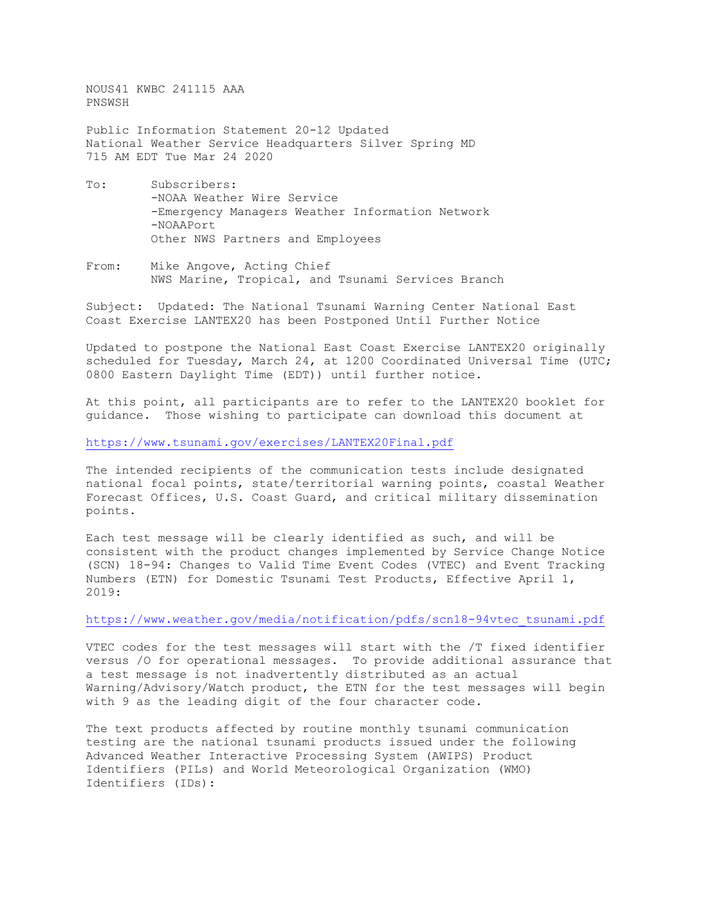NOUS41 KWBC 241115 AAA PNSWSH

Public Information Statement 20-12 Updated National Weather Service Headquarters Silver Spring MD 715 AM EDT Tue Mar 24 2020

- To: Subscribers: -NOAA Weather Wire Service -Emergency Managers Weather Information Network -NOAAPort Other NWS Partners and Employees
- From: Mike Angove, Acting Chief NWS Marine, Tropical, and Tsunami Services Branch

Subject: Updated: The National Tsunami Warning Center National East Coast Exercise LANTEX20 has been Postponed Until Further Notice

Updated to postpone the National East Coast Exercise LANTEX20 originally scheduled for Tuesday, March 24, at 1200 Coordinated Universal Time (UTC; 0800 Eastern Daylight Time (EDT)) until further notice.

At this point, all participants are to refer to the LANTEX20 booklet for guidance. Those wishing to participate can download this document at

<https://www.tsunami.gov/exercises/LANTEX20Final.pdf>

The intended recipients of the communication tests include designated national focal points, state/territorial warning points, coastal Weather Forecast Offices, U.S. Coast Guard, and critical military dissemination points.

Each test message will be clearly identified as such, and will be consistent with the product changes implemented by Service Change Notice (SCN) 18-94: Changes to Valid Time Event Codes (VTEC) and Event Tracking Numbers (ETN) for Domestic Tsunami Test Products, Effective April 1, 2019:

## [https://www.weather.gov/media/notification/pdfs/scn18-94vtec\\_tsunami.pdf](https://www.weather.gov/media/notification/pdfs/scn18-94vtec_tsunami.pdf)

VTEC codes for the test messages will start with the /T fixed identifier versus /O for operational messages. To provide additional assurance that a test message is not inadvertently distributed as an actual Warning/Advisory/Watch product, the ETN for the test messages will begin with 9 as the leading digit of the four character code.

The text products affected by routine monthly tsunami communication testing are the national tsunami products issued under the following Advanced Weather Interactive Processing System (AWIPS) Product Identifiers (PILs) and World Meteorological Organization (WMO) Identifiers (IDs):